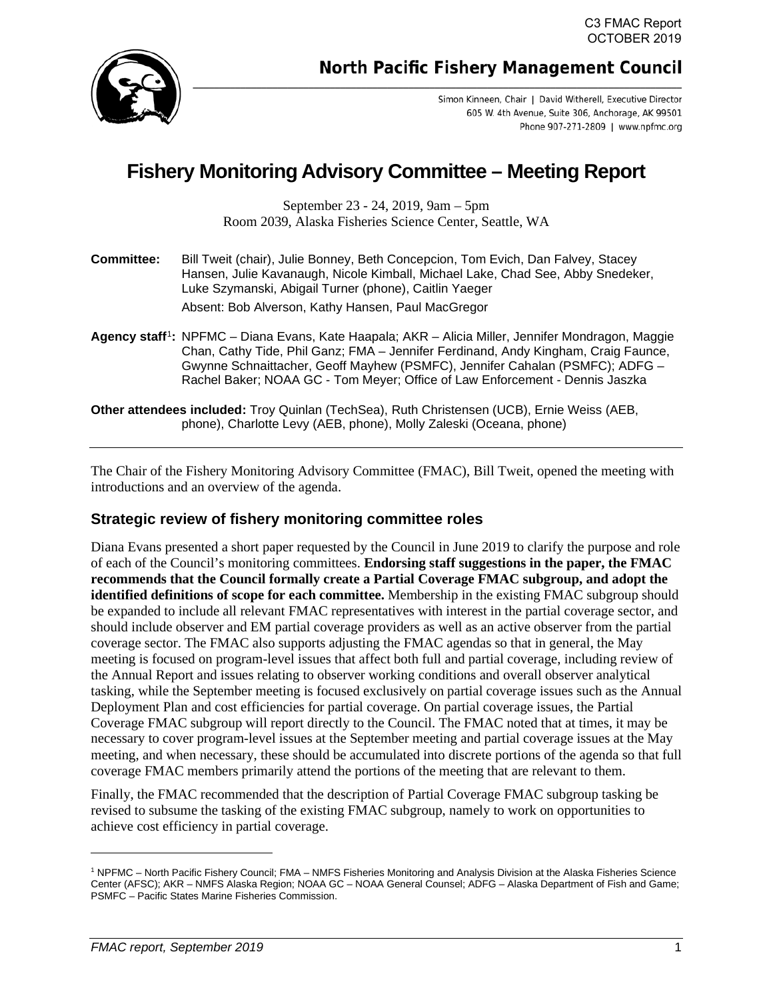

**North Pacific Fishery Management Council** 

Simon Kinneen, Chair | David Witherell, Executive Director 605 W. 4th Avenue, Suite 306, Anchorage, AK 99501 Phone 907-271-2809 | www.npfmc.org

# **Fishery Monitoring Advisory Committee – Meeting Report**

September 23 - 24, 2019, 9am – 5pm Room 2039, Alaska Fisheries Science Center, Seattle, WA

| <b>Committee:</b> | Bill Tweit (chair), Julie Bonney, Beth Concepcion, Tom Evich, Dan Falvey, Stacey |
|-------------------|----------------------------------------------------------------------------------|
|                   | Hansen, Julie Kavanaugh, Nicole Kimball, Michael Lake, Chad See, Abby Snedeker,  |
|                   | Luke Szymanski, Abigail Turner (phone), Caitlin Yaeger                           |
|                   |                                                                                  |

Absent: Bob Alverson, Kathy Hansen, Paul MacGregor

**Agency staff**[1](#page-0-0)**:** NPFMC – Diana Evans, Kate Haapala; AKR – Alicia Miller, Jennifer Mondragon, Maggie Chan, Cathy Tide, Phil Ganz; FMA – Jennifer Ferdinand, Andy Kingham, Craig Faunce, Gwynne Schnaittacher, Geoff Mayhew (PSMFC), Jennifer Cahalan (PSMFC); ADFG – Rachel Baker; NOAA GC - Tom Meyer; Office of Law Enforcement - Dennis Jaszka

**Other attendees included:** Troy Quinlan (TechSea), Ruth Christensen (UCB), Ernie Weiss (AEB, phone), Charlotte Levy (AEB, phone), Molly Zaleski (Oceana, phone)

The Chair of the Fishery Monitoring Advisory Committee (FMAC), Bill Tweit, opened the meeting with introductions and an overview of the agenda.

## **Strategic review of fishery monitoring committee roles**

Diana Evans presented a short paper requested by the Council in June 2019 to clarify the purpose and role of each of the Council's monitoring committees. **Endorsing staff suggestions in the paper, the FMAC recommends that the Council formally create a Partial Coverage FMAC subgroup, and adopt the identified definitions of scope for each committee.** Membership in the existing FMAC subgroup should be expanded to include all relevant FMAC representatives with interest in the partial coverage sector, and should include observer and EM partial coverage providers as well as an active observer from the partial coverage sector. The FMAC also supports adjusting the FMAC agendas so that in general, the May meeting is focused on program-level issues that affect both full and partial coverage, including review of the Annual Report and issues relating to observer working conditions and overall observer analytical tasking, while the September meeting is focused exclusively on partial coverage issues such as the Annual Deployment Plan and cost efficiencies for partial coverage. On partial coverage issues, the Partial Coverage FMAC subgroup will report directly to the Council. The FMAC noted that at times, it may be necessary to cover program-level issues at the September meeting and partial coverage issues at the May meeting, and when necessary, these should be accumulated into discrete portions of the agenda so that full coverage FMAC members primarily attend the portions of the meeting that are relevant to them.

Finally, the FMAC recommended that the description of Partial Coverage FMAC subgroup tasking be revised to subsume the tasking of the existing FMAC subgroup, namely to work on opportunities to achieve cost efficiency in partial coverage.

<span id="page-0-0"></span><sup>1</sup> NPFMC – North Pacific Fishery Council; FMA – NMFS Fisheries Monitoring and Analysis Division at the Alaska Fisheries Science Center (AFSC); AKR – NMFS Alaska Region; NOAA GC – NOAA General Counsel; ADFG – Alaska Department of Fish and Game; PSMFC – Pacific States Marine Fisheries Commission.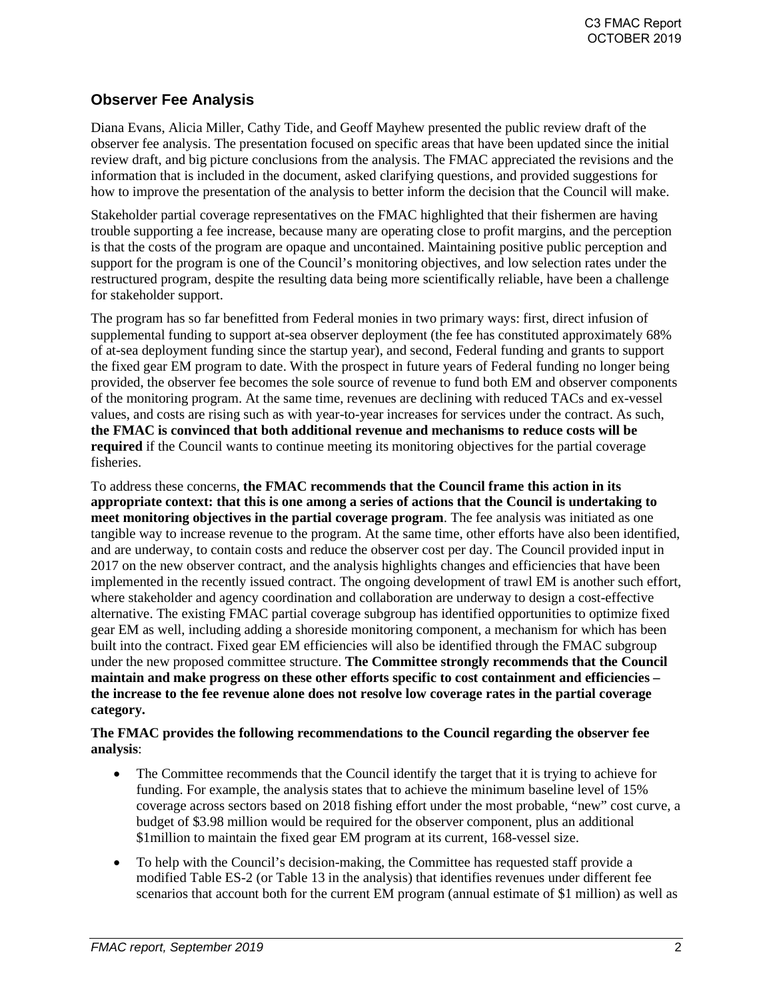# **Observer Fee Analysis**

Diana Evans, Alicia Miller, Cathy Tide, and Geoff Mayhew presented the public review draft of the observer fee analysis. The presentation focused on specific areas that have been updated since the initial review draft, and big picture conclusions from the analysis. The FMAC appreciated the revisions and the information that is included in the document, asked clarifying questions, and provided suggestions for how to improve the presentation of the analysis to better inform the decision that the Council will make.

Stakeholder partial coverage representatives on the FMAC highlighted that their fishermen are having trouble supporting a fee increase, because many are operating close to profit margins, and the perception is that the costs of the program are opaque and uncontained. Maintaining positive public perception and support for the program is one of the Council's monitoring objectives, and low selection rates under the restructured program, despite the resulting data being more scientifically reliable, have been a challenge for stakeholder support.

The program has so far benefitted from Federal monies in two primary ways: first, direct infusion of supplemental funding to support at-sea observer deployment (the fee has constituted approximately 68% of at-sea deployment funding since the startup year), and second, Federal funding and grants to support the fixed gear EM program to date. With the prospect in future years of Federal funding no longer being provided, the observer fee becomes the sole source of revenue to fund both EM and observer components of the monitoring program. At the same time, revenues are declining with reduced TACs and ex-vessel values, and costs are rising such as with year-to-year increases for services under the contract. As such, **the FMAC is convinced that both additional revenue and mechanisms to reduce costs will be required** if the Council wants to continue meeting its monitoring objectives for the partial coverage fisheries.

To address these concerns, **the FMAC recommends that the Council frame this action in its appropriate context: that this is one among a series of actions that the Council is undertaking to meet monitoring objectives in the partial coverage program**. The fee analysis was initiated as one tangible way to increase revenue to the program. At the same time, other efforts have also been identified, and are underway, to contain costs and reduce the observer cost per day. The Council provided input in 2017 on the new observer contract, and the analysis highlights changes and efficiencies that have been implemented in the recently issued contract. The ongoing development of trawl EM is another such effort, where stakeholder and agency coordination and collaboration are underway to design a cost-effective alternative. The existing FMAC partial coverage subgroup has identified opportunities to optimize fixed gear EM as well, including adding a shoreside monitoring component, a mechanism for which has been built into the contract. Fixed gear EM efficiencies will also be identified through the FMAC subgroup under the new proposed committee structure. **The Committee strongly recommends that the Council maintain and make progress on these other efforts specific to cost containment and efficiencies – the increase to the fee revenue alone does not resolve low coverage rates in the partial coverage category.** 

### **The FMAC provides the following recommendations to the Council regarding the observer fee analysis**:

- The Committee recommends that the Council identify the target that it is trying to achieve for funding. For example, the analysis states that to achieve the minimum baseline level of 15% coverage across sectors based on 2018 fishing effort under the most probable, "new" cost curve, a budget of \$3.98 million would be required for the observer component, plus an additional \$1million to maintain the fixed gear EM program at its current, 168-vessel size.
- To help with the Council's decision-making, the Committee has requested staff provide a modified Table ES-2 (or Table 13 in the analysis) that identifies revenues under different fee scenarios that account both for the current EM program (annual estimate of \$1 million) as well as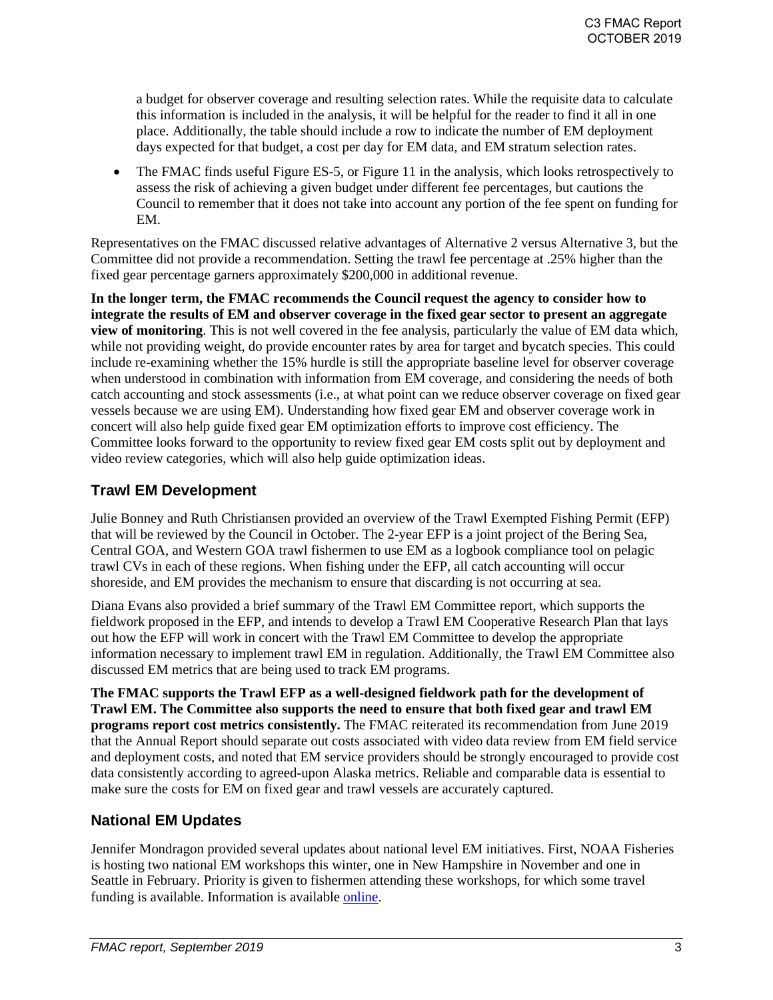a budget for observer coverage and resulting selection rates. While the requisite data to calculate this information is included in the analysis, it will be helpful for the reader to find it all in one place. Additionally, the table should include a row to indicate the number of EM deployment days expected for that budget, a cost per day for EM data, and EM stratum selection rates.

• The FMAC finds useful Figure ES-5, or Figure 11 in the analysis, which looks retrospectively to assess the risk of achieving a given budget under different fee percentages, but cautions the Council to remember that it does not take into account any portion of the fee spent on funding for EM.

Representatives on the FMAC discussed relative advantages of Alternative 2 versus Alternative 3, but the Committee did not provide a recommendation. Setting the trawl fee percentage at .25% higher than the fixed gear percentage garners approximately \$200,000 in additional revenue.

**In the longer term, the FMAC recommends the Council request the agency to consider how to integrate the results of EM and observer coverage in the fixed gear sector to present an aggregate view of monitoring**. This is not well covered in the fee analysis, particularly the value of EM data which, while not providing weight, do provide encounter rates by area for target and bycatch species. This could include re-examining whether the 15% hurdle is still the appropriate baseline level for observer coverage when understood in combination with information from EM coverage, and considering the needs of both catch accounting and stock assessments (i.e., at what point can we reduce observer coverage on fixed gear vessels because we are using EM). Understanding how fixed gear EM and observer coverage work in concert will also help guide fixed gear EM optimization efforts to improve cost efficiency. The Committee looks forward to the opportunity to review fixed gear EM costs split out by deployment and video review categories, which will also help guide optimization ideas.

# **Trawl EM Development**

Julie Bonney and Ruth Christiansen provided an overview of the Trawl Exempted Fishing Permit (EFP) that will be reviewed by the Council in October. The 2-year EFP is a joint project of the Bering Sea, Central GOA, and Western GOA trawl fishermen to use EM as a logbook compliance tool on pelagic trawl CVs in each of these regions. When fishing under the EFP, all catch accounting will occur shoreside, and EM provides the mechanism to ensure that discarding is not occurring at sea.

Diana Evans also provided a brief summary of the Trawl EM Committee report, which supports the fieldwork proposed in the EFP, and intends to develop a Trawl EM Cooperative Research Plan that lays out how the EFP will work in concert with the Trawl EM Committee to develop the appropriate information necessary to implement trawl EM in regulation. Additionally, the Trawl EM Committee also discussed EM metrics that are being used to track EM programs.

**The FMAC supports the Trawl EFP as a well-designed fieldwork path for the development of Trawl EM. The Committee also supports the need to ensure that both fixed gear and trawl EM programs report cost metrics consistently.** The FMAC reiterated its recommendation from June 2019 that the Annual Report should separate out costs associated with video data review from EM field service and deployment costs, and noted that EM service providers should be strongly encouraged to provide cost data consistently according to agreed-upon Alaska metrics. Reliable and comparable data is essential to make sure the costs for EM on fixed gear and trawl vessels are accurately captured.

## **National EM Updates**

Jennifer Mondragon provided several updates about national level EM initiatives. First, NOAA Fisheries is hosting two national EM workshops this winter, one in New Hampshire in November and one in Seattle in February. Priority is given to fishermen attending these workshops, for which some travel funding is available. Information is available [online.](https://www.fisheries.noaa.gov/national/fisheries-observers/sign-now-national-electronic-monitoring-workshops)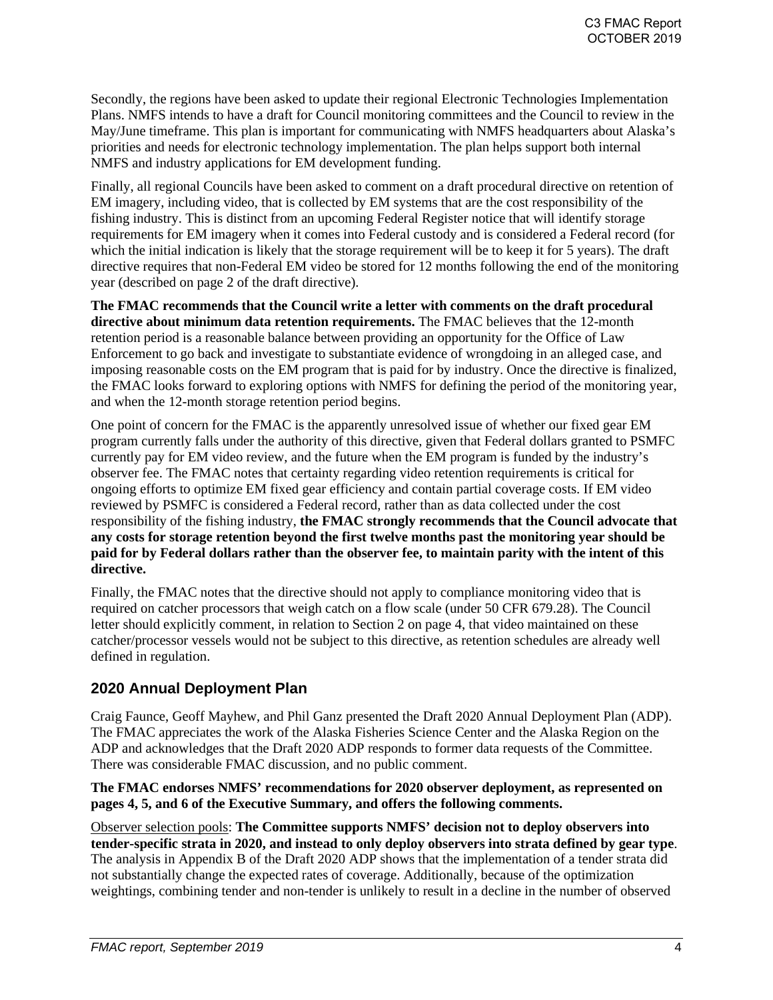Secondly, the regions have been asked to update their regional Electronic Technologies Implementation Plans. NMFS intends to have a draft for Council monitoring committees and the Council to review in the May/June timeframe. This plan is important for communicating with NMFS headquarters about Alaska's priorities and needs for electronic technology implementation. The plan helps support both internal NMFS and industry applications for EM development funding.

Finally, all regional Councils have been asked to comment on a draft procedural directive on retention of EM imagery, including video, that is collected by EM systems that are the cost responsibility of the fishing industry. This is distinct from an upcoming Federal Register notice that will identify storage requirements for EM imagery when it comes into Federal custody and is considered a Federal record (for which the initial indication is likely that the storage requirement will be to keep it for 5 years). The draft directive requires that non-Federal EM video be stored for 12 months following the end of the monitoring year (described on page 2 of the draft directive).

**The FMAC recommends that the Council write a letter with comments on the draft procedural directive about minimum data retention requirements.** The FMAC believes that the 12-month retention period is a reasonable balance between providing an opportunity for the Office of Law Enforcement to go back and investigate to substantiate evidence of wrongdoing in an alleged case, and imposing reasonable costs on the EM program that is paid for by industry. Once the directive is finalized, the FMAC looks forward to exploring options with NMFS for defining the period of the monitoring year, and when the 12-month storage retention period begins.

One point of concern for the FMAC is the apparently unresolved issue of whether our fixed gear EM program currently falls under the authority of this directive, given that Federal dollars granted to PSMFC currently pay for EM video review, and the future when the EM program is funded by the industry's observer fee. The FMAC notes that certainty regarding video retention requirements is critical for ongoing efforts to optimize EM fixed gear efficiency and contain partial coverage costs. If EM video reviewed by PSMFC is considered a Federal record, rather than as data collected under the cost responsibility of the fishing industry, **the FMAC strongly recommends that the Council advocate that any costs for storage retention beyond the first twelve months past the monitoring year should be paid for by Federal dollars rather than the observer fee, to maintain parity with the intent of this directive.** 

Finally, the FMAC notes that the directive should not apply to compliance monitoring video that is required on catcher processors that weigh catch on a flow scale (under 50 CFR 679.28). The Council letter should explicitly comment, in relation to Section 2 on page 4, that video maintained on these catcher/processor vessels would not be subject to this directive, as retention schedules are already well defined in regulation.

# **2020 Annual Deployment Plan**

Craig Faunce, Geoff Mayhew, and Phil Ganz presented the Draft 2020 Annual Deployment Plan (ADP). The FMAC appreciates the work of the Alaska Fisheries Science Center and the Alaska Region on the ADP and acknowledges that the Draft 2020 ADP responds to former data requests of the Committee. There was considerable FMAC discussion, and no public comment.

#### **The FMAC endorses NMFS' recommendations for 2020 observer deployment, as represented on pages 4, 5, and 6 of the Executive Summary, and offers the following comments.**

Observer selection pools: **The Committee supports NMFS' decision not to deploy observers into tender-specific strata in 2020, and instead to only deploy observers into strata defined by gear type**. The analysis in Appendix B of the Draft 2020 ADP shows that the implementation of a tender strata did not substantially change the expected rates of coverage. Additionally, because of the optimization weightings, combining tender and non-tender is unlikely to result in a decline in the number of observed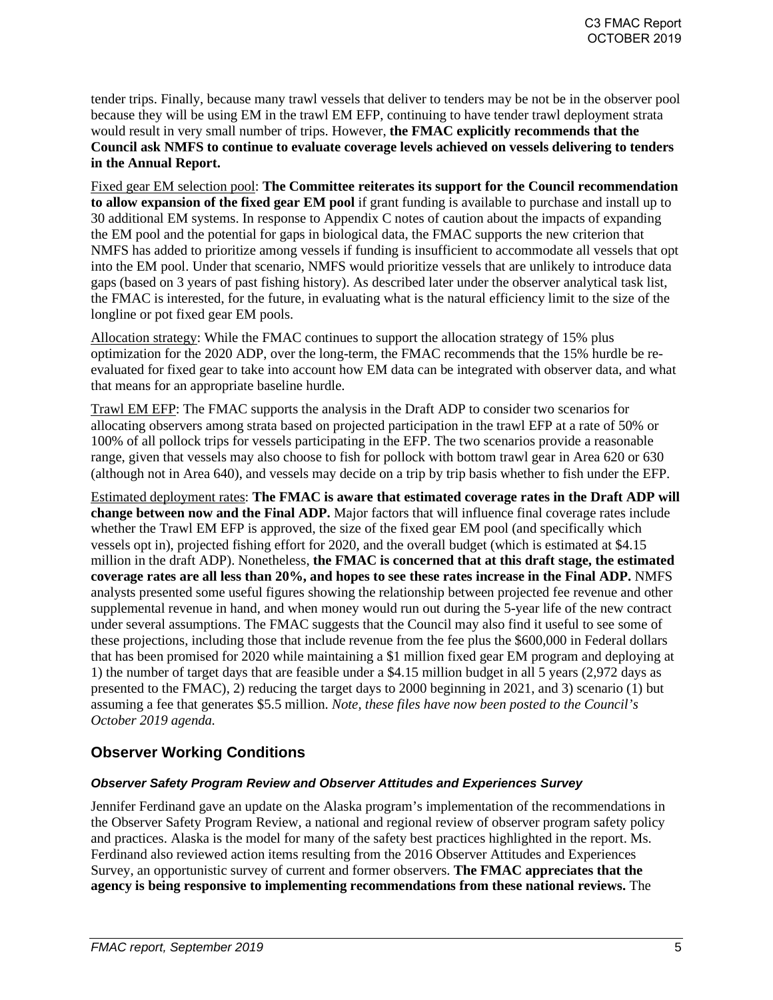tender trips. Finally, because many trawl vessels that deliver to tenders may be not be in the observer pool because they will be using EM in the trawl EM EFP, continuing to have tender trawl deployment strata would result in very small number of trips. However, **the FMAC explicitly recommends that the Council ask NMFS to continue to evaluate coverage levels achieved on vessels delivering to tenders in the Annual Report.** 

Fixed gear EM selection pool: **The Committee reiterates its support for the Council recommendation to allow expansion of the fixed gear EM pool** if grant funding is available to purchase and install up to 30 additional EM systems. In response to Appendix C notes of caution about the impacts of expanding the EM pool and the potential for gaps in biological data, the FMAC supports the new criterion that NMFS has added to prioritize among vessels if funding is insufficient to accommodate all vessels that opt into the EM pool. Under that scenario, NMFS would prioritize vessels that are unlikely to introduce data gaps (based on 3 years of past fishing history). As described later under the observer analytical task list, the FMAC is interested, for the future, in evaluating what is the natural efficiency limit to the size of the longline or pot fixed gear EM pools.

Allocation strategy: While the FMAC continues to support the allocation strategy of 15% plus optimization for the 2020 ADP, over the long-term, the FMAC recommends that the 15% hurdle be reevaluated for fixed gear to take into account how EM data can be integrated with observer data, and what that means for an appropriate baseline hurdle.

Trawl EM EFP: The FMAC supports the analysis in the Draft ADP to consider two scenarios for allocating observers among strata based on projected participation in the trawl EFP at a rate of 50% or 100% of all pollock trips for vessels participating in the EFP. The two scenarios provide a reasonable range, given that vessels may also choose to fish for pollock with bottom trawl gear in Area 620 or 630 (although not in Area 640), and vessels may decide on a trip by trip basis whether to fish under the EFP.

Estimated deployment rates: **The FMAC is aware that estimated coverage rates in the Draft ADP will change between now and the Final ADP.** Major factors that will influence final coverage rates include whether the Trawl EM EFP is approved, the size of the fixed gear EM pool (and specifically which vessels opt in), projected fishing effort for 2020, and the overall budget (which is estimated at \$4.15 million in the draft ADP). Nonetheless, **the FMAC is concerned that at this draft stage, the estimated coverage rates are all less than 20%, and hopes to see these rates increase in the Final ADP.** NMFS analysts presented some useful figures showing the relationship between projected fee revenue and other supplemental revenue in hand, and when money would run out during the 5-year life of the new contract under several assumptions. The FMAC suggests that the Council may also find it useful to see some of these projections, including those that include revenue from the fee plus the \$600,000 in Federal dollars that has been promised for 2020 while maintaining a \$1 million fixed gear EM program and deploying at 1) the number of target days that are feasible under a \$4.15 million budget in all 5 years (2,972 days as presented to the FMAC), 2) reducing the target days to 2000 beginning in 2021, and 3) scenario (1) but assuming a fee that generates \$5.5 million. *Note, these files have now been posted to the Council's October 2019 agenda.*

## **Observer Working Conditions**

#### *Observer Safety Program Review and Observer Attitudes and Experiences Survey*

Jennifer Ferdinand gave an update on the Alaska program's implementation of the recommendations in the Observer Safety Program Review, a national and regional review of observer program safety policy and practices. Alaska is the model for many of the safety best practices highlighted in the report. Ms. Ferdinand also reviewed action items resulting from the 2016 Observer Attitudes and Experiences Survey, an opportunistic survey of current and former observers. **The FMAC appreciates that the agency is being responsive to implementing recommendations from these national reviews.** The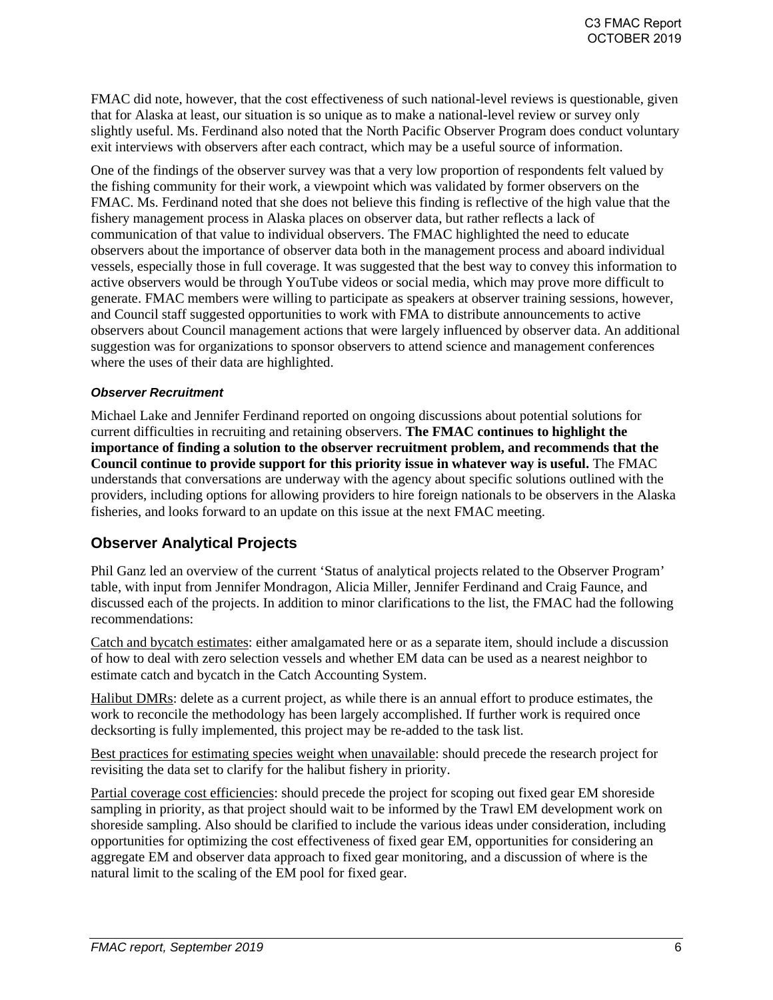FMAC did note, however, that the cost effectiveness of such national-level reviews is questionable, given that for Alaska at least, our situation is so unique as to make a national-level review or survey only slightly useful. Ms. Ferdinand also noted that the North Pacific Observer Program does conduct voluntary exit interviews with observers after each contract, which may be a useful source of information.

One of the findings of the observer survey was that a very low proportion of respondents felt valued by the fishing community for their work, a viewpoint which was validated by former observers on the FMAC. Ms. Ferdinand noted that she does not believe this finding is reflective of the high value that the fishery management process in Alaska places on observer data, but rather reflects a lack of communication of that value to individual observers. The FMAC highlighted the need to educate observers about the importance of observer data both in the management process and aboard individual vessels, especially those in full coverage. It was suggested that the best way to convey this information to active observers would be through YouTube videos or social media, which may prove more difficult to generate. FMAC members were willing to participate as speakers at observer training sessions, however, and Council staff suggested opportunities to work with FMA to distribute announcements to active observers about Council management actions that were largely influenced by observer data. An additional suggestion was for organizations to sponsor observers to attend science and management conferences where the uses of their data are highlighted.

#### *Observer Recruitment*

Michael Lake and Jennifer Ferdinand reported on ongoing discussions about potential solutions for current difficulties in recruiting and retaining observers. **The FMAC continues to highlight the importance of finding a solution to the observer recruitment problem, and recommends that the Council continue to provide support for this priority issue in whatever way is useful.** The FMAC understands that conversations are underway with the agency about specific solutions outlined with the providers, including options for allowing providers to hire foreign nationals to be observers in the Alaska fisheries, and looks forward to an update on this issue at the next FMAC meeting.

### **Observer Analytical Projects**

Phil Ganz led an overview of the current 'Status of analytical projects related to the Observer Program' table, with input from Jennifer Mondragon, Alicia Miller, Jennifer Ferdinand and Craig Faunce, and discussed each of the projects. In addition to minor clarifications to the list, the FMAC had the following recommendations:

Catch and bycatch estimates: either amalgamated here or as a separate item, should include a discussion of how to deal with zero selection vessels and whether EM data can be used as a nearest neighbor to estimate catch and bycatch in the Catch Accounting System.

Halibut DMRs: delete as a current project, as while there is an annual effort to produce estimates, the work to reconcile the methodology has been largely accomplished. If further work is required once decksorting is fully implemented, this project may be re-added to the task list.

Best practices for estimating species weight when unavailable: should precede the research project for revisiting the data set to clarify for the halibut fishery in priority.

Partial coverage cost efficiencies: should precede the project for scoping out fixed gear EM shoreside sampling in priority, as that project should wait to be informed by the Trawl EM development work on shoreside sampling. Also should be clarified to include the various ideas under consideration, including opportunities for optimizing the cost effectiveness of fixed gear EM, opportunities for considering an aggregate EM and observer data approach to fixed gear monitoring, and a discussion of where is the natural limit to the scaling of the EM pool for fixed gear.